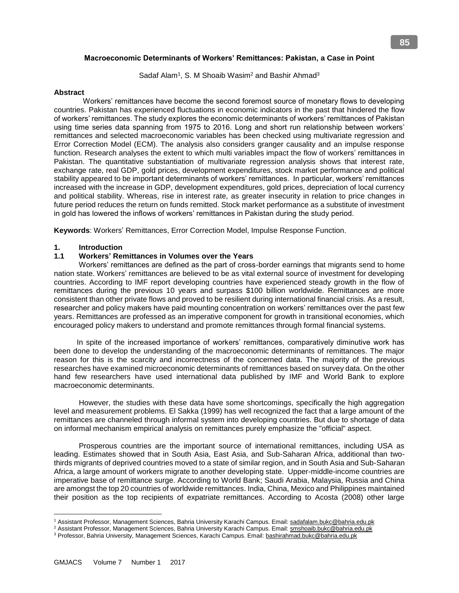## **Macroeconomic Determinants of Workers' Remittances: Pakistan, a Case in Point**

Sadaf Alam<sup>1</sup>, S. M Shoaib Wasim<sup>2</sup> and Bashir Ahmad<sup>3</sup>

#### **Abstract**

Workers' remittances have become the second foremost source of monetary flows to developing countries. Pakistan has experienced fluctuations in economic indicators in the past that hindered the flow of workers' remittances. The study explores the economic determinants of workers' remittances of Pakistan using time series data spanning from 1975 to 2016. Long and short run relationship between workers' remittances and selected macroeconomic variables has been checked using multivariate regression and Error Correction Model (ECM). The analysis also considers granger causality and an impulse response function. Research analyses the extent to which multi variables impact the flow of workers' remittances in Pakistan. The quantitative substantiation of multivariate regression analysis shows that interest rate, exchange rate, real GDP, gold prices, development expenditures, stock market performance and political stability appeared to be important determinants of workers' remittances. In particular, workers' remittances increased with the increase in GDP, development expenditures, gold prices, depreciation of local currency and political stability. Whereas, rise in interest rate, as greater insecurity in relation to price changes in future period reduces the return on funds remitted. Stock market performance as a substitute of investment in gold has lowered the inflows of workers' remittances in Pakistan during the study period.

**Keywords**: Workers' Remittances, Error Correction Model, Impulse Response Function.

# **1. Introduction**

# **1.1 Workers' Remittances in Volumes over the Years**

 Workers' remittances are defined as the part of cross-border earnings that migrants send to home nation state. Workers' remittances are believed to be as vital external source of investment for developing countries. According to IMF report developing countries have experienced steady growth in the flow of remittances during the previous 10 years and surpass \$100 billion worldwide. Remittances are more consistent than other private flows and proved to be resilient during international financial crisis. As a result, researcher and policy makers have paid mounting concentration on workers' remittances over the past few years. Remittances are professed as an imperative component for growth in transitional economies, which encouraged policy makers to understand and promote remittances through formal financial systems.

 In spite of the increased importance of workers' remittances, comparatively diminutive work has been done to develop the understanding of the macroeconomic determinants of remittances. The major reason for this is the scarcity and incorrectness of the concerned data. The majority of the previous researches have examined microeconomic determinants of remittances based on survey data. On the other hand few researchers have used international data published by IMF and World Bank to explore macroeconomic determinants.

 However, the studies with these data have some shortcomings, specifically the high aggregation level and measurement problems. El Sakka (1999) has well recognized the fact that a large amount of the remittances are channeled through informal system into developing countries. But due to shortage of data on informal mechanism empirical analysis on remittances purely emphasize the "official" aspect.

 Prosperous countries are the important source of international remittances, including USA as leading. Estimates showed that in South Asia, East Asia, and Sub-Saharan Africa, additional than twothirds migrants of deprived countries moved to a state of similar region, and in South Asia and Sub-Saharan Africa, a large amount of workers migrate to another developing state. Upper-middle-income countries are imperative base of remittance surge. According to World Bank; Saudi Arabia, Malaysia, Russia and China are amongst the top 20 countries of worldwide remittances. India, China, Mexico and Philippines maintained their position as the top recipients of expatriate remittances. According to Acosta (2008) other large

 $\overline{a}$ <sup>1</sup> Assistant Professor, Management Sciences, Bahria University Karachi Campus. Email: sadafalam.bukc@bahria.edu.pk

<sup>&</sup>lt;sup>2</sup> Assistant Professor, Management Sciences, Bahria University Karachi Campus. Email: **smshoaib.bukc@bahria.edu.pk** 

<sup>3</sup> Professor, Bahria University, Management Sciences, Karachi Campus. Email: bashirahmad.bukc@bahria.edu.pk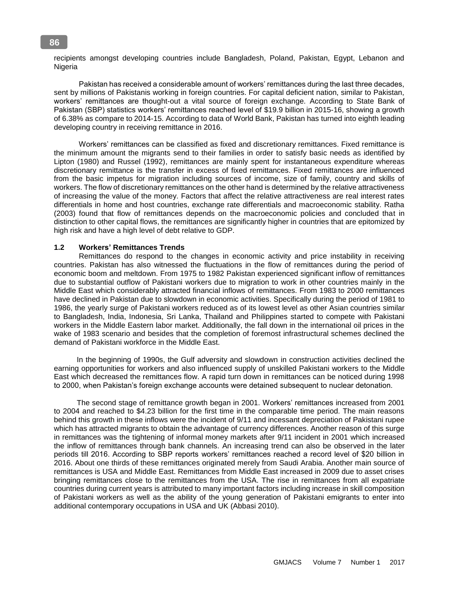recipients amongst developing countries include Bangladesh, Poland, Pakistan, Egypt, Lebanon and **Nigeria** 

 Pakistan has received a considerable amount of workers' remittances during the last three decades, sent by millions of Pakistanis working in foreign countries. For capital deficient nation, similar to Pakistan, workers' remittances are thought-out a vital source of foreign exchange. According to State Bank of Pakistan (SBP) statistics workers' remittances reached level of \$19.9 billion in 2015-16, showing a growth of 6.38% as compare to 2014-15. According to data of World Bank, Pakistan has turned into eighth leading developing country in receiving remittance in 2016.

 Workers' remittances can be classified as fixed and discretionary remittances. Fixed remittance is the minimum amount the migrants send to their families in order to satisfy basic needs as identified by Lipton (1980) and Russel (1992), remittances are mainly spent for instantaneous expenditure whereas discretionary remittance is the transfer in excess of fixed remittances. Fixed remittances are influenced from the basic impetus for migration including sources of income, size of family, country and skills of workers. The flow of discretionary remittances on the other hand is determined by the relative attractiveness of increasing the value of the money. Factors that affect the relative attractiveness are real interest rates differentials in home and host countries, exchange rate differentials and macroeconomic stability. Ratha (2003) found that flow of remittances depends on the macroeconomic policies and concluded that in distinction to other capital flows, the remittances are significantly higher in countries that are epitomized by high risk and have a high level of debt relative to GDP.

#### **1.2 Workers' Remittances Trends**

 Remittances do respond to the changes in economic activity and price instability in receiving countries. Pakistan has also witnessed the fluctuations in the flow of remittances during the period of economic boom and meltdown. From 1975 to 1982 Pakistan experienced significant inflow of remittances due to substantial outflow of Pakistani workers due to migration to work in other countries mainly in the Middle East which considerably attracted financial inflows of remittances. From 1983 to 2000 remittances have declined in Pakistan due to slowdown in economic activities. Specifically during the period of 1981 to 1986, the yearly surge of Pakistani workers reduced as of its lowest level as other Asian countries similar to Bangladesh, India, Indonesia, Sri Lanka, Thailand and Philippines started to compete with Pakistani workers in the Middle Eastern labor market. Additionally, the fall down in the international oil prices in the wake of 1983 scenario and besides that the completion of foremost infrastructural schemes declined the demand of Pakistani workforce in the Middle East.

 In the beginning of 1990s, the Gulf adversity and slowdown in construction activities declined the earning opportunities for workers and also influenced supply of unskilled Pakistani workers to the Middle East which decreased the remittances flow. A rapid turn down in remittances can be noticed during 1998 to 2000, when Pakistan's foreign exchange accounts were detained subsequent to nuclear detonation.

 The second stage of remittance growth began in 2001. Workers' remittances increased from 2001 to 2004 and reached to \$4.23 billion for the first time in the comparable time period. The main reasons behind this growth in these inflows were the incident of 9/11 and incessant depreciation of Pakistani rupee which has attracted migrants to obtain the advantage of currency differences. Another reason of this surge in remittances was the tightening of informal money markets after 9/11 incident in 2001 which increased the inflow of remittances through bank channels. An increasing trend can also be observed in the later periods till 2016. According to SBP reports workers' remittances reached a record level of \$20 billion in 2016. About one thirds of these remittances originated merely from Saudi Arabia. Another main source of remittances is USA and Middle East. Remittances from Middle East increased in 2009 due to asset crises bringing remittances close to the remittances from the USA. The rise in remittances from all expatriate countries during current years is attributed to many important factors including increase in skill composition of Pakistani workers as well as the ability of the young generation of Pakistani emigrants to enter into additional contemporary occupations in USA and UK (Abbasi 2010).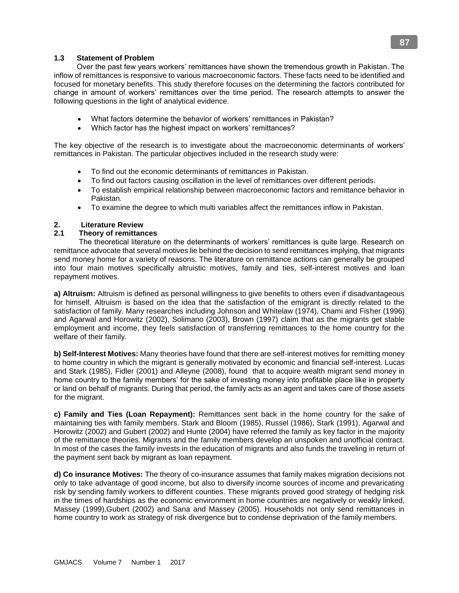# **1.3 Statement of Problem**

 Over the past few years workers' remittances have shown the tremendous growth in Pakistan. The inflow of remittances is responsive to various macroeconomic factors. These facts need to be identified and focused for monetary benefits. This study therefore focuses on the determining the factors contributed for change in amount of workers' remittances over the time period. The research attempts to answer the following questions in the light of analytical evidence.

- What factors determine the behavior of workers' remittances in Pakistan?
- Which factor has the highest impact on workers' remittances?

The key objective of the research is to investigate about the macroeconomic determinants of workers' remittances in Pakistan. The particular objectives included in the research study were:

- To find out the economic determinants of remittances in Pakistan.
- To find out factors causing oscillation in the level of remittances over different periods.
- To establish empirical relationship between macroeconomic factors and remittance behavior in Pakistan.
- To examine the degree to which multi variables affect the remittances inflow in Pakistan.

# **2. Literature Review**

# **2.1 Theory of remittances**

 The theoretical literature on the determinants of workers' remittances is quite large. Research on remittance advocate that several motives lie behind the decision to send remittances implying, that migrants send money home for a variety of reasons. The literature on remittance actions can generally be grouped into four main motives specifically altruistic motives, family and ties, self-interest motives and loan repayment motives.

**a) Altruism:** Altruism is defined as personal willingness to give benefits to others even if disadvantageous for himself. Altruism is based on the idea that the satisfaction of the emigrant is directly related to the satisfaction of family. Many researches including Johnson and Whitelaw (1974), Chami and Fisher (1996) and Agarwal and Horowitz (2002), Solimano (2003), Brown (1997) claim that as the migrants get stable employment and income, they feels satisfaction of transferring remittances to the home country for the welfare of their family.

**b) Self-Interest Motives:** Many theories have found that there are self-interest motives for remitting money to home country in which the migrant is generally motivated by economic and financial self-interest. Lucas and Stark (1985), Fidler (2001) and Alleyne (2008), found that to acquire wealth migrant send money in home country to the family members' for the sake of investing money into profitable place like in property or land on behalf of migrants. During that period, the family acts as an agent and takes care of those assets for the migrant.

**c) Family and Ties (Loan Repayment):** Remittances sent back in the home country for the sake of maintaining ties with family members. Stark and Bloom (1985), Russel (1986), Stark (1991), Agarwal and Horowitz (2002) and Gubert (2002) and Hunte (2004) have referred the family as key factor in the majority of the remittance theories. Migrants and the family members develop an unspoken and unofficial contract. In most of the cases the family invests in the education of migrants and also funds the traveling in return of the payment sent back by migrant as loan repayment.

**d) Co insurance Motives:** The theory of co-insurance assumes that family makes migration decisions not only to take advantage of good income, but also to diversify income sources of income and prevaricating risk by sending family workers to different counties. These migrants proved good strategy of hedging risk in the times of hardships as the economic environment in home countries are negatively or weakly linked, Massey (1999),Gubert (2002) and Sana and Massey (2005). Households not only send remittances in home country to work as strategy of risk divergence but to condense deprivation of the family members.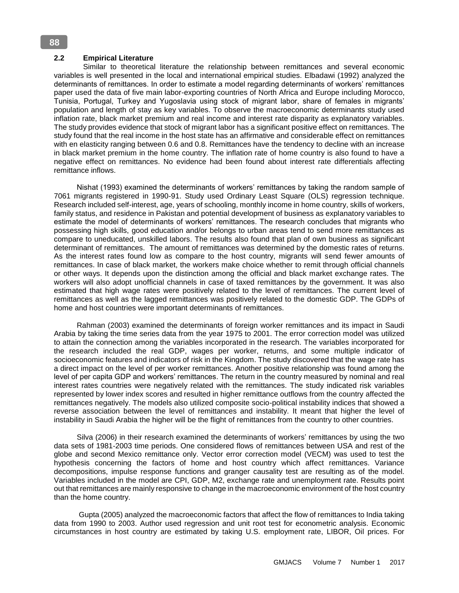#### **2.2 Empirical Literature**

 Similar to theoretical literature the relationship between remittances and several economic variables is well presented in the local and international empirical studies. Elbadawi (1992) analyzed the determinants of remittances. In order to estimate a model regarding determinants of workers' remittances paper used the data of five main labor-exporting countries of North Africa and Europe including Morocco, Tunisia, Portugal, Turkey and Yugoslavia using stock of migrant labor, share of females in migrants' population and length of stay as key variables. To observe the macroeconomic determinants study used inflation rate, black market premium and real income and interest rate disparity as explanatory variables. The study provides evidence that stock of migrant labor has a significant positive effect on remittances. The study found that the real income in the host state has an affirmative and considerable effect on remittances with en elasticity ranging between 0.6 and 0.8. Remittances have the tendency to decline with an increase in black market premium in the home country. The inflation rate of home country is also found to have a negative effect on remittances. No evidence had been found about interest rate differentials affecting remittance inflows.

 Nishat (1993) examined the determinants of workers' remittances by taking the random sample of 7061 migrants registered in 1990-91. Study used Ordinary Least Square (OLS) regression technique. Research included self-interest, age, years of schooling, monthly income in home country, skills of workers, family status, and residence in Pakistan and potential development of business as explanatory variables to estimate the model of determinants of workers' remittances. The research concludes that migrants who possessing high skills, good education and/or belongs to urban areas tend to send more remittances as compare to uneducated, unskilled labors. The results also found that plan of own business as significant determinant of remittances. The amount of remittances was determined by the domestic rates of returns. As the interest rates found low as compare to the host country, migrants will send fewer amounts of remittances. In case of black market, the workers make choice whether to remit through official channels or other ways. It depends upon the distinction among the official and black market exchange rates. The workers will also adopt unofficial channels in case of taxed remittances by the government. It was also estimated that high wage rates were positively related to the level of remittances. The current level of remittances as well as the lagged remittances was positively related to the domestic GDP. The GDPs of home and host countries were important determinants of remittances.

 Rahman (2003) examined the determinants of foreign worker remittances and its impact in Saudi Arabia by taking the time series data from the year 1975 to 2001. The error correction model was utilized to attain the connection among the variables incorporated in the research. The variables incorporated for the research included the real GDP, wages per worker, returns, and some multiple indicator of socioeconomic features and indicators of risk in the Kingdom. The study discovered that the wage rate has a direct impact on the level of per worker remittances. Another positive relationship was found among the level of per capita GDP and workers' remittances. The return in the country measured by nominal and real interest rates countries were negatively related with the remittances. The study indicated risk variables represented by lower index scores and resulted in higher remittance outflows from the country affected the remittances negatively. The models also utilized composite socio-political instability indices that showed a reverse association between the level of remittances and instability. It meant that higher the level of instability in Saudi Arabia the higher will be the flight of remittances from the country to other countries.

 Silva (2006) in their research examined the determinants of workers' remittances by using the two data sets of 1981-2003 time periods. One considered flows of remittances between USA and rest of the globe and second Mexico remittance only. Vector error correction model (VECM) was used to test the hypothesis concerning the factors of home and host country which affect remittances. Variance decompositions, impulse response functions and granger causality test are resulting as of the model. Variables included in the model are CPI, GDP, M2, exchange rate and unemployment rate. Results point out that remittances are mainly responsive to change in the macroeconomic environment of the host country than the home country.

 Gupta (2005) analyzed the macroeconomic factors that affect the flow of remittances to India taking data from 1990 to 2003. Author used regression and unit root test for econometric analysis. Economic circumstances in host country are estimated by taking U.S. employment rate, LIBOR, Oil prices. For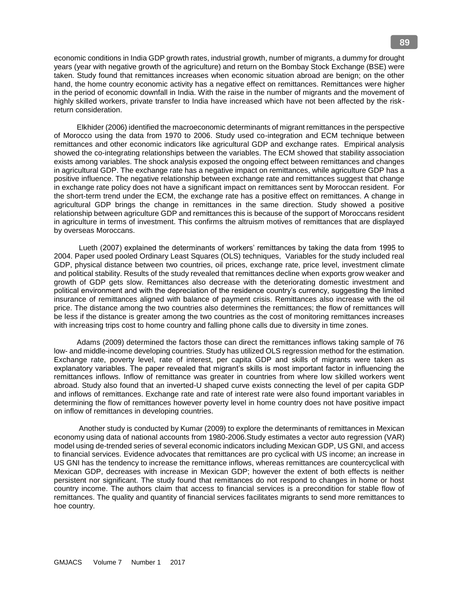economic conditions in India GDP growth rates, industrial growth, number of migrants, a dummy for drought years (year with negative growth of the agriculture) and return on the Bombay Stock Exchange (BSE) were taken. Study found that remittances increases when economic situation abroad are benign; on the other hand, the home country economic activity has a negative effect on remittances. Remittances were higher in the period of economic downfall in India. With the raise in the number of migrants and the movement of highly skilled workers, private transfer to India have increased which have not been affected by the riskreturn consideration.

 Elkhider (2006) identified the macroeconomic determinants of migrant remittances in the perspective of Morocco using the data from 1970 to 2006. Study used co-integration and ECM technique between remittances and other economic indicators like agricultural GDP and exchange rates. Empirical analysis showed the co-integrating relationships between the variables. The ECM showed that stability association exists among variables. The shock analysis exposed the ongoing effect between remittances and changes in agricultural GDP. The exchange rate has a negative impact on remittances, while agriculture GDP has a positive influence. The negative relationship between exchange rate and remittances suggest that change in exchange rate policy does not have a significant impact on remittances sent by Moroccan resident. For the short-term trend under the ECM, the exchange rate has a positive effect on remittances. A change in agricultural GDP brings the change in remittances in the same direction. Study showed a positive relationship between agriculture GDP and remittances this is because of the support of Moroccans resident in agriculture in terms of investment. This confirms the altruism motives of remittances that are displayed by overseas Moroccans.

 Lueth (2007) explained the determinants of workers' remittances by taking the data from 1995 to 2004. Paper used pooled Ordinary Least Squares (OLS) techniques, Variables for the study included real GDP, physical distance between two countries, oil prices, exchange rate, price level, investment climate and political stability. Results of the study revealed that remittances decline when exports grow weaker and growth of GDP gets slow. Remittances also decrease with the deteriorating domestic investment and political environment and with the depreciation of the residence country's currency, suggesting the limited insurance of remittances aligned with balance of payment crisis. Remittances also increase with the oil price. The distance among the two countries also determines the remittances; the flow of remittances will be less if the distance is greater among the two countries as the cost of monitoring remittances increases with increasing trips cost to home country and falling phone calls due to diversity in time zones.

 Adams (2009) determined the factors those can direct the remittances inflows taking sample of 76 low- and middle-income developing countries. Study has utilized OLS regression method for the estimation. Exchange rate, poverty level, rate of interest, per capita GDP and skills of migrants were taken as explanatory variables. The paper revealed that migrant's skills is most important factor in influencing the remittances inflows. Inflow of remittance was greater in countries from where low skilled workers went abroad. Study also found that an inverted-U shaped curve exists connecting the level of per capita GDP and inflows of remittances. Exchange rate and rate of interest rate were also found important variables in determining the flow of remittances however poverty level in home country does not have positive impact on inflow of remittances in developing countries.

 Another study is conducted by Kumar (2009) to explore the determinants of remittances in Mexican economy using data of national accounts from 1980-2006.Study estimates a vector auto regression (VAR) model using de-trended series of several economic indicators including Mexican GDP, US GNI, and access to financial services. Evidence advocates that remittances are pro cyclical with US income; an increase in US GNI has the tendency to increase the remittance inflows, whereas remittances are countercyclical with Mexican GDP, decreases with increase in Mexican GDP; however the extent of both effects is neither persistent nor significant. The study found that remittances do not respond to changes in home or host country income. The authors claim that access to financial services is a precondition for stable flow of remittances. The quality and quantity of financial services facilitates migrants to send more remittances to hoe country.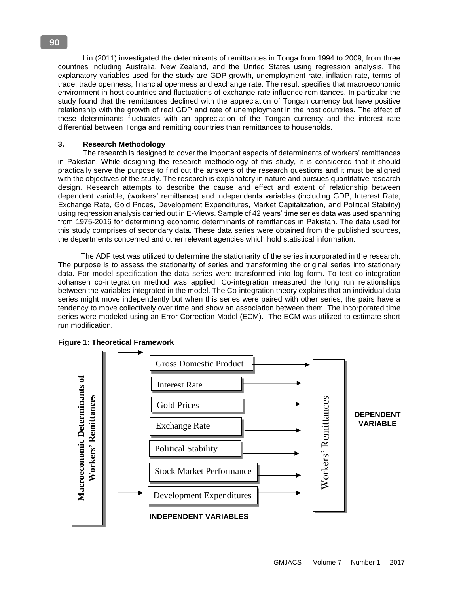Lin (2011) investigated the determinants of remittances in Tonga from 1994 to 2009, from three countries including Australia, New Zealand, and the United States using regression analysis. The explanatory variables used for the study are GDP growth, unemployment rate, inflation rate, terms of trade, trade openness, financial openness and exchange rate. The result specifies that macroeconomic environment in host countries and fluctuations of exchange rate influence remittances. In particular the study found that the remittances declined with the appreciation of Tongan currency but have positive relationship with the growth of real GDP and rate of unemployment in the host countries. The effect of these determinants fluctuates with an appreciation of the Tongan currency and the interest rate differential between Tonga and remitting countries than remittances to households.

## **3. Research Methodology**

 The research is designed to cover the important aspects of determinants of workers' remittances in Pakistan. While designing the research methodology of this study, it is considered that it should practically serve the purpose to find out the answers of the research questions and it must be aligned with the objectives of the study. The research is explanatory in nature and pursues quantitative research design. Research attempts to describe the cause and effect and extent of relationship between dependent variable, (workers' remittance) and independents variables (including GDP, Interest Rate, Exchange Rate, Gold Prices, Development Expenditures, Market Capitalization, and Political Stability) using regression analysis carried out in E-Views. Sample of 42 years' time series data was used spanning from 1975-2016 for determining economic determinants of remittances in Pakistan. The data used for this study comprises of secondary data. These data series were obtained from the published sources, the departments concerned and other relevant agencies which hold statistical information.

 The ADF test was utilized to determine the stationarity of the series incorporated in the research. The purpose is to assess the stationarity of series and transforming the original series into stationary data. For model specification the data series were transformed into log form. To test co-integration Johansen co-integration method was applied. Co-integration measured the long run relationships between the variables integrated in the model. The Co-integration theory explains that an individual data series might move independently but when this series were paired with other series, the pairs have a tendency to move collectively over time and show an association between them. The incorporated time series were modeled using an Error Correction Model (ECM). The ECM was utilized to estimate short run modification.



 **Figure 1: Theoretical Framework**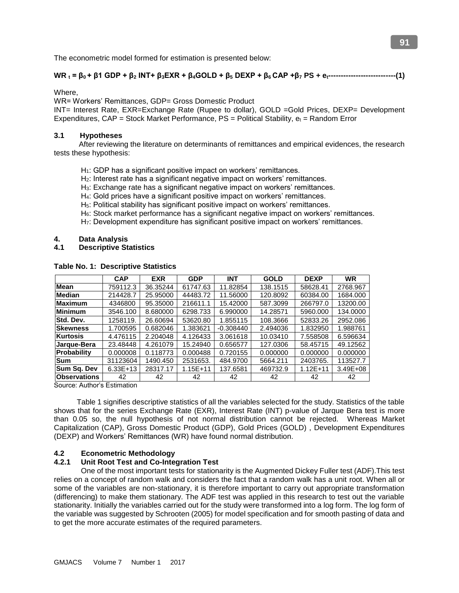The econometric model formed for estimation is presented below:

# $WR_t = \beta_0 + \beta_1 GDP + \beta_2 INT + \beta_3 EXR + \beta_4 GOLD + \beta_5 DEXP + \beta_6 CAP + \beta_7 PS + e_{t}$  (1)

Where,

WR= Workers' Remittances, GDP= Gross Domestic Product

INT= Interest Rate, EXR=Exchange Rate (Rupee to dollar), GOLD =Gold Prices, DEXP= Development Expenditures,  $CAP = Stock Market Performance, PS = Political Stability,  $e_t = Random Error$$ 

## **3.1 Hypotheses**

 After reviewing the literature on determinants of remittances and empirical evidences, the research tests these hypothesis:

- H<sub>1</sub>: GDP has a significant positive impact on workers' remittances.
- H2: Interest rate has a significant negative impact on workers' remittances.
- H3: Exchange rate has a significant negative impact on workers' remittances.
- H4: Gold prices have a significant positive impact on workers' remittances.
- H<sub>5</sub>: Political stability has significant positive impact on workers' remittances.
- H6: Stock market performance has a significant negative impact on workers' remittances.
- H7: Development expenditure has significant positive impact on workers' remittances.

#### **4. Data Analysis**

**4.1 Descriptive Statistics**

|                     | <b>CAP</b> | <b>EXR</b> | <b>GDP</b>   | <b>INT</b>  | <b>GOLD</b> | <b>DEXP</b>  | <b>WR</b>    |
|---------------------|------------|------------|--------------|-------------|-------------|--------------|--------------|
| <b>Mean</b>         | 759112.3   | 36.35244   | 61747.63     | 11.82854    | 138.1515    | 58628.41     | 2768.967     |
| <b>Median</b>       | 214428.7   | 25.95000   | 44483.72     | 11.56000    | 120.8092    | 60384.00     | 1684.000     |
| <b>Maximum</b>      | 4346800    | 95.35000   | 216611.1     | 15.42000    | 587.3099    | 266797.0     | 13200.00     |
| <b>Minimum</b>      | 3546.100   | 8.680000   | 6298.733     | 6.990000    | 14.28571    | 5960.000     | 134.0000     |
| <b>Std. Dev.</b>    | 1258119.   | 26.60694   | 53620.80     | 1.855115    | 108.3666    | 52833.26     | 2952.086     |
| <b>Skewness</b>     | 1.700595   | 0.682046   | 1.383621     | $-0.308440$ | 2.494036    | 1.832950     | 1.988761     |
| <b>Kurtosis</b>     | 4.476115   | 2.204048   | 4.126433     | 3.061618    | 10.03410    | 7.558508     | 6.596634     |
| Jarque-Bera         | 23.48448   | 4.261079   | 15.24940     | 0.656577    | 127.0306    | 58.45715     | 49.12562     |
| Probability         | 0.000008   | 0.118773   | 0.000488     | 0.720155    | 0.000000    | 0.000000     | 0.000000     |
| <b>Sum</b>          | 31123604   | 1490.450   | 2531653.     | 484.9700    | 5664.211    | 2403765.     | 113527.7     |
| Sum Sq. Dev         | $6.33E+13$ | 28317.17   | $1.15E + 11$ | 137.6581    | 469732.9    | $1.12E + 11$ | $3.49E + 08$ |
| <b>Observations</b> | 42         | 42         | 42           | 42          | 42          | 42           | 42           |

**Table No. 1: Descriptive Statistics**

Source: Author's Estimation

 Table 1 signifies descriptive statistics of all the variables selected for the study. Statistics of the table shows that for the series Exchange Rate (EXR), Interest Rate (INT) p-value of Jarque Bera test is more than 0.05 so, the null hypothesis of not normal distribution cannot be rejected. Whereas Market Capitalization (CAP), Gross Domestic Product (GDP), Gold Prices (GOLD) , Development Expenditures (DEXP) and Workers' Remittances (WR) have found normal distribution.

## **4.2 Econometric Methodology**

## **4.2.1 Unit Root Test and Co-Integration Test**

 One of the most important tests for stationarity is the Augmented Dickey Fuller test (ADF).This test relies on a concept of random walk and considers the fact that a random walk has a unit root. When all or some of the variables are non-stationary, it is therefore important to carry out appropriate transformation (differencing) to make them stationary. The ADF test was applied in this research to test out the variable stationarity. Initially the variables carried out for the study were transformed into a log form. The log form of the variable was suggested by Schrooten (2005) for model specification and for smooth pasting of data and to get the more accurate estimates of the required parameters.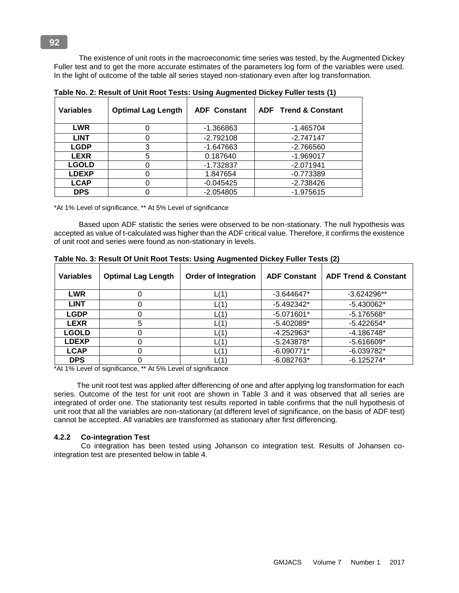The existence of unit roots in the macroeconomic time series was tested, by the Augmented Dickey Fuller test and to get the more accurate estimates of the parameters log form of the variables were used. In the light of outcome of the table all series stayed non-stationary even after log transformation.

| <b>Variables</b> | <b>Optimal Lag Length</b> | <b>ADF Constant</b> | <b>ADF</b> Trend & Constant |
|------------------|---------------------------|---------------------|-----------------------------|
| <b>LWR</b>       |                           | -1.366863           | $-1.465704$                 |
| <b>LINT</b>      |                           | $-2.792108$         | $-2.747147$                 |
| <b>LGDP</b>      | 3                         | $-1.647663$         | $-2.766560$                 |
| <b>LEXR</b>      | 5                         | 0.187640            | $-1.969017$                 |
| <b>LGOLD</b>     |                           | $-1.732837$         | $-2.071941$                 |
| <b>LDEXP</b>     |                           | 1.847654            | $-0.773389$                 |
| <b>LCAP</b>      |                           | $-0.045425$         | -2.738426                   |
| <b>DPS</b>       |                           | $-2.054805$         | $-1.975615$                 |

**Table No. 2: Result of Unit Root Tests: Using Augmented Dickey Fuller tests (1)**

\*At 1% Level of significance, \*\* At 5% Level of significance

 Based upon ADF statistic the series were observed to be non-stationary. The null hypothesis was accepted as value of t-calculated was higher than the ADF critical value. Therefore, it confirms the existence of unit root and series were found as non-stationary in levels.

| <b>Variables</b> | <b>Optimal Lag Length</b> | <b>Order of Integration</b> | <b>ADF Constant</b> | <b>ADF Trend &amp; Constant</b> |
|------------------|---------------------------|-----------------------------|---------------------|---------------------------------|
| <b>LWR</b>       |                           | L(1)                        | $-3.644647*$        | $-3.624296**$                   |
| <b>LINT</b>      |                           | L(1)                        | $-5.492342*$        | $-5.430062*$                    |
| <b>LGDP</b>      |                           | L(1)                        | $-5.071601*$        | $-5.176568*$                    |
| <b>LEXR</b>      | 5                         | L(1)                        | $-5.402089*$        | $-5.422654*$                    |
| <b>LGOLD</b>     |                           | L(1)                        | -4.252963*          | $-4.186748*$                    |
| <b>LDEXP</b>     |                           | L(1)                        | $-5.243878*$        | $-5.616609*$                    |
| <b>LCAP</b>      |                           | L(1)                        | $-6.090771*$        | $-6.039782*$                    |
| <b>DPS</b>       |                           | L(1`                        | $-6.082763*$        | $-6.125274*$                    |

**Table No. 3: Result Of Unit Root Tests: Using Augmented Dickey Fuller Tests (2)**

\*At 1% Level of significance, \*\* At 5% Level of significance

 The unit root test was applied after differencing of one and after applying log transformation for each series. Outcome of the test for unit root are shown in Table 3 and it was observed that all series are integrated of order one. The stationarity test results reported in table confirms that the null hypothesis of unit root that all the variables are non-stationary (at different level of significance, on the basis of ADF test) cannot be accepted. All variables are transformed as stationary after first differencing.

## **4.2.2 Co-integration Test**

 Co integration has been tested using Johanson co integration test. Results of Johansen cointegration test are presented below in table 4.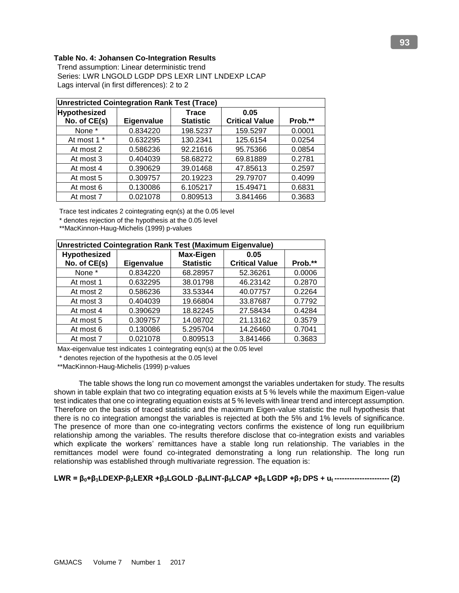# **Table No. 4: Johansen Co-Integration Results**

Trend assumption: Linear deterministic trend Series: LWR LNGOLD LGDP DPS LEXR LINT LNDEXP LCAP Lags interval (in first differences): 2 to 2

|              | <b>Unrestricted Cointegration Rank Test (Trace)</b> |                  |                       |         |  |  |  |
|--------------|-----------------------------------------------------|------------------|-----------------------|---------|--|--|--|
| Hypothesized |                                                     | <b>Trace</b>     | 0.05                  |         |  |  |  |
| No. of CE(s) | Eigenvalue                                          | <b>Statistic</b> | <b>Critical Value</b> | Prob.** |  |  |  |
| None *       | 0.834220                                            | 198.5237         | 159.5297              | 0.0001  |  |  |  |
| At most 1 *  | 0.632295                                            | 130.2341         | 125.6154              | 0.0254  |  |  |  |
| At most 2    | 0.586236                                            | 92.21616         | 95.75366              | 0.0854  |  |  |  |
| At most 3    | 0.404039                                            | 58.68272         | 69.81889              | 0.2781  |  |  |  |
| At most 4    | 0.390629                                            | 39.01468         | 47.85613              | 0.2597  |  |  |  |
| At most 5    | 0.309757                                            | 20.19223         | 29.79707              | 0.4099  |  |  |  |
| At most 6    | 0.130086                                            | 6.105217         | 15.49471              | 0.6831  |  |  |  |
| At most 7    | 0.021078                                            | 0.809513         | 3.841466              | 0.3683  |  |  |  |

Trace test indicates 2 cointegrating eqn(s) at the 0.05 level

\* denotes rejection of the hypothesis at the 0.05 level

\*\*MacKinnon-Haug-Michelis (1999) p-values

|              | Unrestricted Cointegration Rank Test (Maximum Eigenvalue) |                  |                       |         |  |  |  |
|--------------|-----------------------------------------------------------|------------------|-----------------------|---------|--|--|--|
| Hypothesized |                                                           | <b>Max-Eigen</b> | 0.05                  |         |  |  |  |
| No. of CE(s) | Eigenvalue                                                | <b>Statistic</b> | <b>Critical Value</b> | Prob.** |  |  |  |
| None *       | 0.834220                                                  | 68.28957         | 52.36261              | 0.0006  |  |  |  |
| At most 1    | 0.632295                                                  | 38.01798         | 46.23142              | 0.2870  |  |  |  |
| At most 2    | 0.586236                                                  | 33.53344         | 40.07757              | 0.2264  |  |  |  |
| At most 3    | 0.404039                                                  | 19.66804         | 33.87687              | 0.7792  |  |  |  |
| At most 4    | 0.390629                                                  | 18.82245         | 27.58434              | 0.4284  |  |  |  |
| At most 5    | 0.309757                                                  | 14.08702         | 21.13162              | 0.3579  |  |  |  |
| At most 6    | 0.130086                                                  | 5.295704         | 14.26460              | 0.7041  |  |  |  |
| At most 7    | 0.021078                                                  | 0.809513         | 3.841466              | 0.3683  |  |  |  |

Max-eigenvalue test indicates 1 cointegrating eqn(s) at the 0.05 level

\* denotes rejection of the hypothesis at the 0.05 level

\*\*MacKinnon-Haug-Michelis (1999) p-values

 The table shows the long run co movement amongst the variables undertaken for study. The results shown in table explain that two co integrating equation exists at 5 % levels while the maximum Eigen-value test indicates that one co integrating equation exists at 5 % levels with linear trend and intercept assumption. Therefore on the basis of traced statistic and the maximum Eigen-value statistic the null hypothesis that there is no co integration amongst the variables is rejected at both the 5% and 1% levels of significance. The presence of more than one co-integrating vectors confirms the existence of long run equilibrium relationship among the variables. The results therefore disclose that co-integration exists and variables which explicate the workers' remittances have a stable long run relationship. The variables in the remittances model were found co-integrated demonstrating a long run relationship. The long run relationship was established through multivariate regression. The equation is:

## LWR =  $\beta_0 + \beta_1$ LDEXP- $\beta_2$ LEXR + $\beta_3$ LGOLD - $\beta_4$ LINT- $\beta_5$ LCAP + $\beta_6$ LGDP + $\beta_7$ DPS + u<sub>t</sub> ----------------------- (2)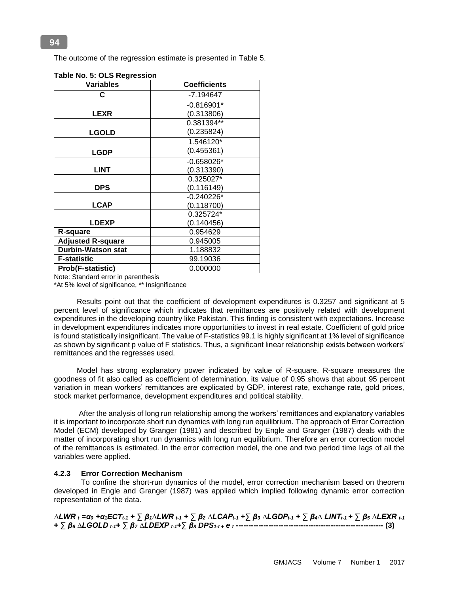The outcome of the regression estimate is presented in Table 5.

| <b>Variables</b>          | <b>Coefficients</b> |
|---------------------------|---------------------|
| C                         | -7.194647           |
|                           | $-0.816901*$        |
| <b>LEXR</b>               | (0.313806)          |
|                           | 0.381394**          |
| <b>LGOLD</b>              | (0.235824)          |
|                           | 1.546120*           |
| <b>LGDP</b>               | (0.455361)          |
|                           | $-0.658026*$        |
| <b>LINT</b>               | (0.313390)          |
|                           | 0.325027*           |
| <b>DPS</b>                | (0.116149)          |
|                           | $-0.240226*$        |
| <b>LCAP</b>               | (0.118700)          |
|                           | 0.325724*           |
| <b>LDEXP</b>              | (0.140456)          |
| R-square                  | 0.954629            |
| <b>Adjusted R-square</b>  | 0.945005            |
| <b>Durbin-Watson stat</b> | 1.188832            |
| <b>F-statistic</b>        | 99.19036            |
| Prob(F-statistic)         | 0.000000            |

|  |  | Table No. 5: OLS Regression |
|--|--|-----------------------------|
|  |  |                             |

Note: Standard error in parenthesis

\*At 5% level of significance, \*\* Insignificance

 Results point out that the coefficient of development expenditures is 0.3257 and significant at 5 percent level of significance which indicates that remittances are positively related with development expenditures in the developing country like Pakistan. This finding is consistent with expectations. Increase in development expenditures indicates more opportunities to invest in real estate. Coefficient of gold price is found statistically insignificant. The value of F-statistics 99.1 is highly significant at 1% level of significance as shown by significant p value of F statistics. Thus, a significant linear relationship exists between workers' remittances and the regresses used.

 Model has strong explanatory power indicated by value of R-square. R-square measures the goodness of fit also called as coefficient of determination, its value of 0.95 shows that about 95 percent variation in mean workers' remittances are explicated by GDP, interest rate, exchange rate, gold prices, stock market performance, development expenditures and political stability.

 After the analysis of long run relationship among the workers' remittances and explanatory variables it is important to incorporate short run dynamics with long run equilibrium. The approach of Error Correction Model (ECM) developed by Granger (1981) and described by Engle and Granger (1987) deals with the matter of incorporating short run dynamics with long run equilibrium. Therefore an error correction model of the remittances is estimated. In the error correction model, the one and two period time lags of all the variables were applied.

## **4.2.3 Error Correction Mechanism**

 To confine the short-run dynamics of the model, error correction mechanism based on theorem developed in Engle and Granger (1987) was applied which implied following dynamic error correction representation of the data.

 $\Delta LWR$  t = $\alpha$ 0 + $\alpha$ 1ECTt-1 +  $\sum\beta$ 1 $\Delta LWR$  t-1 +  $\sum\beta$ 2  $\Delta LCAP$ t-1 + $\sum\beta$ 3  $\Delta LGDP$ t-1 +  $\sum\beta$ 4 $\Delta$  LINTt-1 +  $\sum\beta$ 5  $\Delta LEXR$  t-1 **+ ∑** *β<sup>6</sup> ∆LGOLD t-1***+ ∑** *β<sup>7</sup> ∆LDEXP t-1***+∑** *β<sup>8</sup> DPS1-t + e <sup>t</sup>* **----------------------------------------------------------- (3)**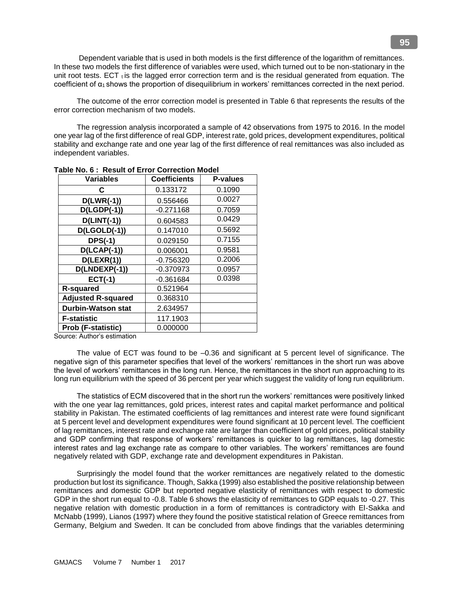Dependent variable that is used in both models is the first difference of the logarithm of remittances. In these two models the first difference of variables were used, which turned out to be non-stationary in the unit root tests. ECT  $<sub>t</sub>$  is the lagged error correction term and is the residual generated from equation. The</sub> coefficient of α1 shows the proportion of disequilibrium in workers' remittances corrected in the next period.

 The outcome of the error correction model is presented in Table 6 that represents the results of the error correction mechanism of two models.

 The regression analysis incorporated a sample of 42 observations from 1975 to 2016. In the model one year lag of the first difference of real GDP, interest rate, gold prices, development expenditures, political stability and exchange rate and one year lag of the first difference of real remittances was also included as independent variables.

| <b>Variables</b>          | <b>Coefficients</b> | <b>P-values</b> |
|---------------------------|---------------------|-----------------|
| C                         | 0.133172            | 0.1090          |
| $D(LWR(-1))$              | 0.556466            | 0.0027          |
| $D(LGDP(-1))$             | $-0.271168$         | 0.7059          |
| $D(LINT(-1))$             | 0.604583            | 0.0429          |
| $D($ LGOL $D(-1))$        | 0.147010            | 0.5692          |
| $DFS(-1)$                 | 0.029150            | 0.7155          |
| $D(LCAP(-1))$             | 0.006001            | 0.9581          |
| D(LEXR(1))                | $-0.756320$         | 0.2006          |
| D(LNDEXP(-1))             | $-0.370973$         | 0.0957          |
| $ECT(-1)$                 | $-0.361684$         | 0.0398          |
| <b>R-squared</b>          | 0.521964            |                 |
| <b>Adjusted R-squared</b> | 0.368310            |                 |
| <b>Durbin-Watson stat</b> | 2.634957            |                 |
| <b>F-statistic</b>        | 117.1903            |                 |
| Prob (F-statistic)        | 0.000000            |                 |

**Table No. 6 : Result of Error Correction Model**

Source: Author's estimation

 The value of ECT was found to be –0.36 and significant at 5 percent level of significance. The negative sign of this parameter specifies that level of the workers' remittances in the short run was above the level of workers' remittances in the long run. Hence, the remittances in the short run approaching to its long run equilibrium with the speed of 36 percent per year which suggest the validity of long run equilibrium.

 The statistics of ECM discovered that in the short run the workers' remittances were positively linked with the one year lag remittances, gold prices, interest rates and capital market performance and political stability in Pakistan. The estimated coefficients of lag remittances and interest rate were found significant at 5 percent level and development expenditures were found significant at 10 percent level. The coefficient of lag remittances, interest rate and exchange rate are larger than coefficient of gold prices, political stability and GDP confirming that response of workers' remittances is quicker to lag remittances, lag domestic interest rates and lag exchange rate as compare to other variables. The workers' remittances are found negatively related with GDP, exchange rate and development expenditures in Pakistan.

 Surprisingly the model found that the worker remittances are negatively related to the domestic production but lost its significance. Though, Sakka (1999) also established the positive relationship between remittances and domestic GDP but reported negative elasticity of remittances with respect to domestic GDP in the short run equal to -0.8. Table 6 shows the elasticity of remittances to GDP equals to -0.27. This negative relation with domestic production in a form of remittances is contradictory with El-Sakka and McNabb (1999), Lianos (1997) where they found the positive statistical relation of Greece remittances from Germany, Belgium and Sweden. It can be concluded from above findings that the variables determining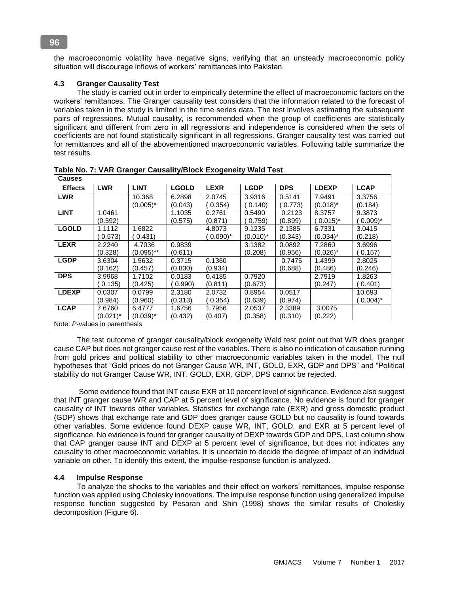the macroeconomic volatility have negative signs, verifying that an unsteady macroeconomic policy situation will discourage inflows of workers' remittances into Pakistan.

# **4.3 Granger Causality Test**

 The study is carried out in order to empirically determine the effect of macroeconomic factors on the workers' remittances. The Granger causality test considers that the information related to the forecast of variables taken in the study is limited in the time series data. The test involves estimating the subsequent pairs of regressions. Mutual causality, is recommended when the group of coefficients are statistically significant and different from zero in all regressions and independence is considered when the sets of coefficients are not found statistically significant in all regressions. Granger causality test was carried out for remittances and all of the abovementioned macroeconomic variables. Following table summarize the test results.

| <b>Causes</b>  |             |              |              |                      |             |            |                      |                      |
|----------------|-------------|--------------|--------------|----------------------|-------------|------------|----------------------|----------------------|
| <b>Effects</b> | <b>LWR</b>  | <b>LINT</b>  | <b>LGOLD</b> | <b>LEXR</b>          | <b>LGDP</b> | <b>DPS</b> | <b>LDEXP</b>         | <b>LCAP</b>          |
| <b>LWR</b>     |             | 10.368       | 6.2898       | 2.0745               | 3.9316      | 0.5141     | 7.9491               | 3.3756               |
|                |             | $(0.005)^*$  | (0.043)      | 0.354)               | (0.140)     | (0.773)    | $(0.018)^*$          | (0.184)              |
| <b>LINT</b>    | 1.0461      |              | 1.1035       | 0.2761               | 0.5490      | 0.2123     | 8.3757               | 9.3873               |
|                | (0.592)     |              | (0.575)      | (0.871)              | 0.759       | (0.899)    | $0.015$ <sup>*</sup> | $0.009$ <sup>*</sup> |
| <b>LGOLD</b>   | 1.1112      | 1.6822       |              | 4.8073               | 9.1235      | 2.1385     | 6.7331               | 3.0415               |
|                | 0.573)      | 0.431)       |              | $0.090$ <sup>*</sup> | $(0.010)^*$ | (0.343)    | $(0.034)^*$          | (0.218)              |
| <b>LEXR</b>    | 2.2240      | 4.7036       | 0.9839       |                      | 3.1382      | 0.0892     | 7.2860               | 3.6996               |
|                | (0.328)     | $(0.095)$ ** | (0.611)      |                      | (0.208)     | (0.956)    | $(0.026)^*$          | 0.157                |
| <b>LGDP</b>    | 3.6304      | 1.5632       | 0.3715       | 0.1360               |             | 0.7475     | 1.4399               | 2.8025               |
|                | (0.162)     | (0.457)      | (0.830)      | (0.934)              |             | (0.688)    | (0.486)              | (0.246)              |
| <b>DPS</b>     | 3.9968      | 1.7102       | 0.0183       | 0.4185               | 0.7920      |            | 2.7919               | 1.8263               |
|                | 0.135)      | (0.425)      | 0.990        | (0.811)              | (0.673)     |            | (0.247)              | 0.401                |
| <b>LDEXP</b>   | 0.0307      | 0.0799       | 2.3180       | 2.0732               | 0.8954      | 0.0517     |                      | 10.693               |
|                | (0.984)     | (0.960)      | (0.313)      | 0.354)               | (0.639)     | (0.974)    |                      | $0.004$ <sup>*</sup> |
| <b>LCAP</b>    | 7.6760      | 6.4777       | 1.6756       | 1.7956               | 2.0537      | 2.3389     | 3.0075               |                      |
|                | $(0.021)^*$ | $(0.039)^*$  | (0.432)      | (0.407)              | (0.358)     | (0.310)    | (0.222)              |                      |

**Table No. 7: VAR Granger Causality/Block Exogeneity Wald Test** 

Note: *P*-values in parenthesis

 The test outcome of granger causality/block exogeneity Wald test point out that WR does granger cause CAP but does not granger cause rest of the variables. There is also no indication of causation running from gold prices and political stability to other macroeconomic variables taken in the model. The null hypotheses that "Gold prices do not Granger Cause WR, INT, GOLD, EXR, GDP and DPS" and "Political stability do not Granger Cause WR, INT, GOLD, EXR, GDP, DPS cannot be rejected.

 Some evidence found that INT cause EXR at 10 percent level of significance. Evidence also suggest that INT granger cause WR and CAP at 5 percent level of significance. No evidence is found for granger causality of INT towards other variables. Statistics for exchange rate (EXR) and gross domestic product (GDP) shows that exchange rate and GDP does granger cause GOLD but no causality is found towards other variables. Some evidence found DEXP cause WR, INT, GOLD, and EXR at 5 percent level of significance. No evidence is found for granger causality of DEXP towards GDP and DPS. Last column show that CAP granger cause INT and DEXP at 5 percent level of significance, but does not indicates any causality to other macroeconomic variables. It is uncertain to decide the degree of impact of an individual variable on other. To identify this extent, the impulse-response function is analyzed.

# **4.4 Impulse Response**

 To analyze the shocks to the variables and their effect on workers' remittances, impulse response function was applied using Cholesky innovations. The impulse response function using generalized impulse response function suggested by Pesaran and Shin (1998) shows the similar results of Cholesky decomposition (Figure 6).

#### **96**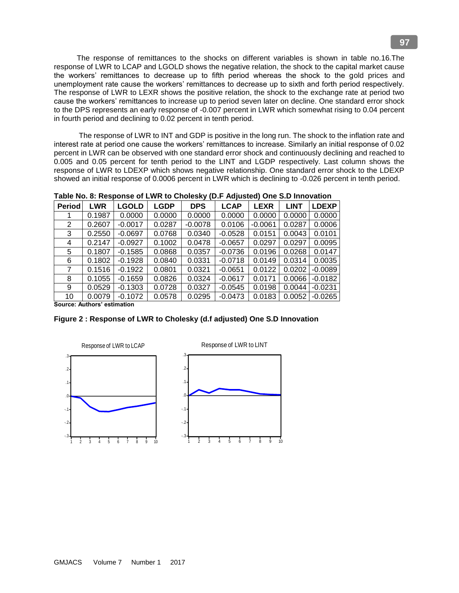The response of remittances to the shocks on different variables is shown in table no.16.The response of LWR to LCAP and LGOLD shows the negative relation, the shock to the capital market cause the workers' remittances to decrease up to fifth period whereas the shock to the gold prices and unemployment rate cause the workers' remittances to decrease up to sixth and forth period respectively. The response of LWR to LEXR shows the positive relation, the shock to the exchange rate at period two **Response to Cholesky One S.D. Innovations**cause the workers' remittances to increase up to period seven later on decline. One standard error shock to the DPS represents an early response of -0.007 percent in LWR which somewhat rising to 0.04 percent in fourth period and declining to 0.02 percent in tenth period.

The response of LWR to INT and GDP is positive in the long run. The shock to the inflation rate and interest rate at period one cause the workers' remittances to increase. Similarly an initial response of 0.02 . 1 . 1 percent in LWR can be observed with one standard error shock and continuously declining and reached to .<br>0.005 and 0.05 percent for tenth period to the LINT and LGDP respectively. Last column shows the response of LWR to LDEXP which shows negative relationship. One standard error shock to the LDEXP showed an initial response of 0.0006 percent in LWR which is declining to -0.026 percent in tenth period.

| <b>Period</b> | <b>LWR</b> | <b>LGOLD</b> | <b>LGDP</b> | <b>DPS</b> | <b>LCAP</b> | <b>LEXR</b> | <b>LINT</b> | <b>LDEXP</b>            |
|---------------|------------|--------------|-------------|------------|-------------|-------------|-------------|-------------------------|
|               | 0.1987     | 0.0000       | 0.0000      | 0.0000     | 0.0000      | 0.0000      | 0.00001     | 0.0000                  |
| 2             | 0.2607     | $-0.0017$    | 0.0287      | $-0.0078$  | 0.0106      | $-0.0061$   | 0.0287      | 0.0006                  |
| 3             | 0.2550     | $-0.0697$    | 0.0768      | 0.0340     | $-0.0528$   | 0.0151      | 0.0043      | 0.0101                  |
| 4             | 0.2147     | $-0.0927$    | 0.1002      | 0.0478     | $-0.0657$   | 0.0297      | 0.0297      | 0.0095                  |
| 5             | 0.1807     | $-0.1585$    | 0.0868      | 0.0357     | $-0.0736$   | 0.0196      | 0.0268      | 0.0147                  |
| 6             | 0.1802     | $-0.1928$    | 0.0840      | 0.0331     | $-0.0718$   | 0.0149      | 0.0314      | 0.0035                  |
|               | 0.1516     | $-0.1922$    | 0.0801      | 0.0321     | $-0.0651$   | 0.0122      | 0.0202      | -0.0089                 |
| 8             | 0.1055     | $-0.1659$    | 0.0826      | 0.0324     | $-0.0617$   | 0.0171      |             | $0.0066$ $\mid$ -0.0182 |
| 9             | 0.0529     | $-0.1303$    | 0.0728      | 0.0327     | $-0.0545$   | 0.0198      |             | $0.0044$ $-0.0231$      |
| 10            | 0.0079     | $-0.1072$    | 0.0578      | 0.0295     | $-0.0473$   | 0.0183      |             | $0.0052$ $\mid$ -0.0265 |

Table No. 8: Response of LWR to Cholesky (D.F Adjusted) One S.D Innovation

Source: Authors' estimation

Figure 2 : Response of LWR to Cholesky (d.f adjusted) One S.D Innovation esky (d.f adjusted) One S.D Innovat 1 2 4 5 6 7 8 9 7 8 9 7 8 9 7 8 9 7 8 9 7 8 9 7 8 9 7 8 9 7 8 9 7 8 9 7 8 9 7 8 9 7 8 9 7 8 9 7 8 9 7 8 9 7 8

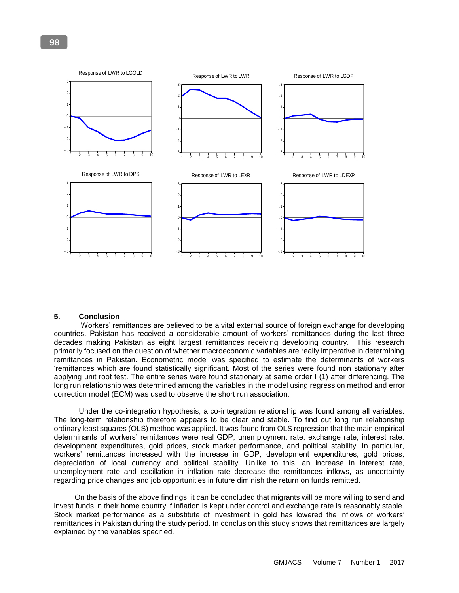

#### **5. Conclusion**

Workers' remittances are believed to be a vital external source of foreign exchange for developing countries. Pakistan has received a considerable amount of workers' remittances during the last three decades making Pakistan as eight largest remittances receiving developing country. This research primarily focused on the question of whether macroeconomic variables are really imperative in determining .<br>remittances in Pakistan. Econometric model was specified to estimate the determinants of workers 'remittances which are found statistically significant. Most of the series were found non stationary after applying unit root test. The entire series were found stationary at same order I (1) after differencing. The long run relationship was determined among the variables in the model using regression method and error correction model (ECM) was used to observe the short run association.

 Under the co-integration hypothesis, a co-integration relationship was found among all variables. The long-term relationship therefore appears to be clear and stable. To find out long run relationship ordinary least squares (OLS) method was applied. It was found from OLS regression that the main empirical determinants of workers' remittances were real GDP, unemployment rate, exchange rate, interest rate, development expenditures, gold prices, stock market performance, and political stability. In particular, workers' remittances increased with the increase in GDP, development expenditures, gold prices, depreciation of local currency and political stability. Unlike to this, an increase in interest rate, unemployment rate and oscillation in inflation rate decrease the remittances inflows, as uncertainty regarding price changes and job opportunities in future diminish the return on funds remitted.

 On the basis of the above findings, it can be concluded that migrants will be more willing to send and invest funds in their home country if inflation is kept under control and exchange rate is reasonably stable. Stock market performance as a substitute of investment in gold has lowered the inflows of workers' remittances in Pakistan during the study period. In conclusion this study shows that remittances are largely explained by the variables specified.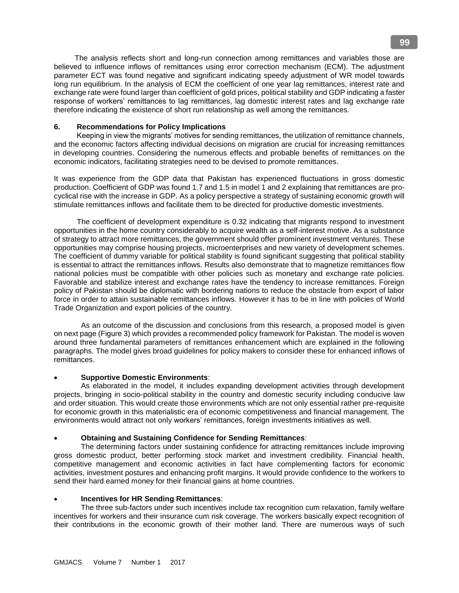The analysis reflects short and long-run connection among remittances and variables those are believed to influence inflows of remittances using error correction mechanism (ECM). The adjustment parameter ECT was found negative and significant indicating speedy adjustment of WR model towards long run equilibrium. In the analysis of ECM the coefficient of one year lag remittances, interest rate and exchange rate were found larger than coefficient of gold prices, political stability and GDP indicating a faster response of workers' remittances to lag remittances, lag domestic interest rates and lag exchange rate therefore indicating the existence of short run relationship as well among the remittances.

#### **6. Recommendations for Policy Implications**

 Keeping in view the migrants' motives for sending remittances, the utilization of remittance channels, and the economic factors affecting individual decisions on migration are crucial for increasing remittances in developing countries. Considering the numerous effects and probable benefits of remittances on the economic indicators, facilitating strategies need to be devised to promote remittances.

It was experience from the GDP data that Pakistan has experienced fluctuations in gross domestic production. Coefficient of GDP was found 1.7 and 1.5 in model 1 and 2 explaining that remittances are procyclical rise with the increase in GDP. As a policy perspective a strategy of sustaining economic growth will stimulate remittances inflows and facilitate them to be directed for productive domestic investments.

 The coefficient of development expenditure is 0.32 indicating that migrants respond to investment opportunities in the home country considerably to acquire wealth as a self-interest motive. As a substance of strategy to attract more remittances, the government should offer prominent investment ventures. These opportunities may comprise housing projects, microenterprises and new variety of development schemes. The coefficient of dummy variable for political stability is found significant suggesting that political stability is essential to attract the remittances inflows. Results also demonstrate that to magnetize remittances flow national policies must be compatible with other policies such as monetary and exchange rate policies. Favorable and stabilize interest and exchange rates have the tendency to increase remittances. Foreign policy of Pakistan should be diplomatic with bordering nations to reduce the obstacle from export of labor force in order to attain sustainable remittances inflows. However it has to be in line with policies of World Trade Organization and export policies of the country.

 As an outcome of the discussion and conclusions from this research, a proposed model is given on next page (Figure 3) which provides a recommended policy framework for Pakistan. The model is woven around three fundamental parameters of remittances enhancement which are explained in the following paragraphs. The model gives broad guidelines for policy makers to consider these for enhanced inflows of remittances.

#### **Supportive Domestic Environments**:

As elaborated in the model, it includes expanding development activities through development projects, bringing in socio-political stability in the country and domestic security including conducive law and order situation. This would create those environments which are not only essential rather pre-requisite for economic growth in this materialistic era of economic competitiveness and financial management. The environments would attract not only workers' remittances, foreign investments initiatives as well.

#### **Obtaining and Sustaining Confidence for Sending Remittances**:

The determining factors under sustaining confidence for attracting remittances include improving gross domestic product, better performing stock market and investment credibility. Financial health, competitive management and economic activities in fact have complementing factors for economic activities, investment postures and enhancing profit margins. It would provide confidence to the workers to send their hard earned money for their financial gains at home countries.

#### **Incentives for HR Sending Remittances**:

The three sub-factors under such incentives include tax recognition cum relaxation, family welfare incentives for workers and their insurance cum risk coverage. The workers basically expect recognition of their contributions in the economic growth of their mother land. There are numerous ways of such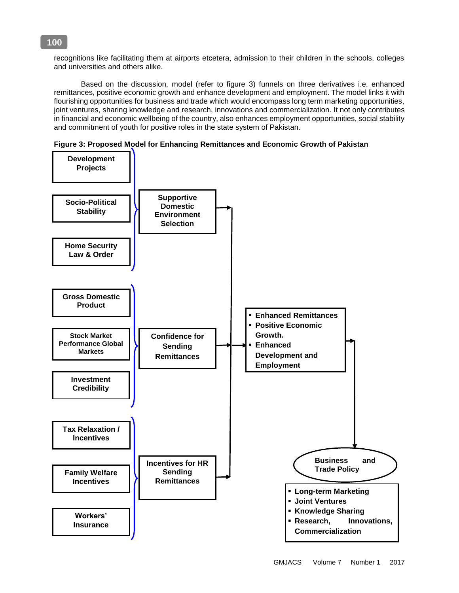recognitions like facilitating them at airports etcetera, admission to their children in the schools, colleges and universities and others alike.

Based on the discussion, model (refer to figure 3) funnels on three derivatives i.e. enhanced remittances, positive economic growth and enhance development and employment. The model links it with flourishing opportunities for business and trade which would encompass long term marketing opportunities, joint ventures, sharing knowledge and research, innovations and commercialization. It not only contributes in financial and economic wellbeing of the country, also enhances employment opportunities, social stability and commitment of youth for positive roles in the state system of Pakistan.





# **100**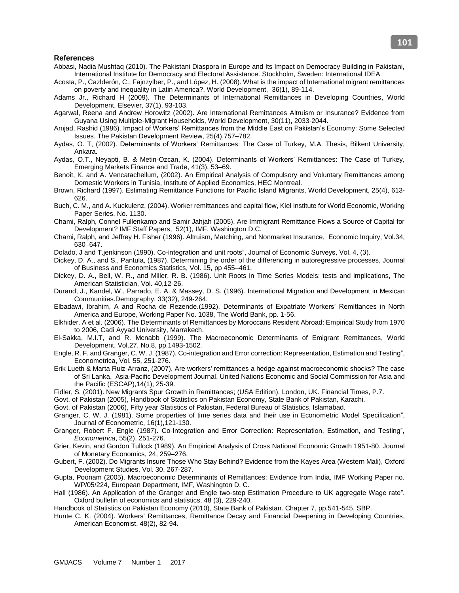# **References**

- Abbasi, Nadia Mushtaq (2010). The Pakistani Diaspora in Europe and Its Impact on Democracy Building in Pakistani, International Institute for Democracy and Electoral Assistance. Stockholm, Sweden: International IDEA.
- Acosta, P., Cazlderón, C.; Fajnzylber, P., and López, H. (2008). What is the impact of International migrant remittances on poverty and inequality in Latin America?, World Development, 36(1), 89-114.
- Adams Jr., Richard H (2009). [The Determinants of International Remittances in Developing Countries,](http://ideas.repec.org/a/eee/wdevel/v37y2009i1p93-103.html) [World](http://ideas.repec.org/s/eee/wdevel.html)  [Development,](http://ideas.repec.org/s/eee/wdevel.html) Elsevier, 37(1), 93-103.
- Agarwal, Reena and Andrew Horowitz (2002). Are International Remittances Altruism or Insurance? Evidence from Guyana Using Multiple-Migrant Households, World Development, 30(11), 2033-2044.
- Amjad, Rashid (1986). Impact of Workers' Remittances from the Middle East on Pakistan's Economy: Some Selected Issues. The Pakistan Development Review, 25(4),757–782.
- Aydas, O. T, (2002). Determinants of Workers' Remittances: The Case of Turkey, M.A. Thesis, Bilkent University, Ankara.
- Aydas, O.T., Neyapti, B. & Metin-Ozcan, K. (2004). Determinants of Workers' Remittances: The Case of Turkey, Emerging Markets Finance and Trade, 41(3), 53–69.
- Benoit, K. and A. Vencatachellum, (2002). An Empirical Analysis of Compulsory and Voluntary Remittances among Domestic Workers in Tunisia, Institute of Applied Economics, HEC Montreal.
- Brown, Richard (1997). Estimating Remittance Functions for Pacific Island Migrants, World Development, 25(4), 613- 626.
- Buch, C. M., and A. Kuckulenz, (2004). Worker remittances and capital flow, Kiel Institute for World Economic, Working Paper Series, No. 1130.
- Chami, Ralph, Connel Fullenkamp and Samir Jahjah (2005), Are Immigrant Remittance Flows a Source of Capital for Development? IMF Staff Papers, 52(1), IMF, Washington D.C.
- Chami, Ralph, and Jeffrey H. Fisher (1996). Altruism, Matching, and Nonmarket Insurance, Economic Inquiry, Vol.34, 630–647.
- Dolado, J and T.jenkinson (1990). Co-integration and unit roots", Journal of Economic Surveys, Vol. 4, (3).
- Dickey, D. A., and S., Pantula, (1987). Determining the order of the differencing in autoregressive processes, Journal of Business and Economics Statistics, Vol. 15, pp 455–461.
- Dickey, D. A., Bell, W. R., and Miller, R. B. (1986). Unit Roots in Time Series Models: tests and implications, The American Statistician, Vol. 40,12-26.
- Durand, J., Kandel, W., Parrado, E. A. & Massey, D. S. (1996). International Migration and Development in Mexican Communities.Demography, 33(32), 249-264.
- Elbadawi, Ibrahim, A and Rocha de Rezende.(1992). Determinants of Expatriate Workers' Remittances in North America and Europe, Working Paper No. 1038, The World Bank, pp. 1-56.
- Elkhider. A et al. (2006). The Determinants of Remittances by Moroccans Resident Abroad: Empirical Study from 1970 to 2006, Cadi Ayyad University, Marrakech.
- El-Sakka, M.I.T, and R. Mcnabb (1999). The Macroeconomic Determinants of Emigrant Remittances, World Development, Vol.27, No.8, pp.1493-1502.
- Engle, R. F. and Granger, C. W. J. (1987). Co-integration and Error correction: Representation, Estimation and Testing", Econometrica, Vol. 55, 251-276.
- Erik Lueth & Marta Ruiz-Arranz, (2007). [Are workers' remittances a hedge against macroeconomic shocks? The case](http://ideas.repec.org/a/unt/jnapdj/v14y2007i1p25-39.html)  [of Sri Lanka,](http://ideas.repec.org/a/unt/jnapdj/v14y2007i1p25-39.html) [Asia-Pacific Development Journal,](http://ideas.repec.org/s/unt/jnapdj.html) United Nations Economic and Social Commission for Asia and the Pacific (ESCAP),14(1), 25-39.
- Fidler, S. (2001). New Migrants Spur Growth in Remittances; (USA Edition). London, UK. Financial Times, P.7.
- Govt. of Pakistan (2005), Handbook of Statistics on Pakistan Economy, State Bank of Pakistan, Karachi.
- Govt. of Pakistan (2006), Fifty year Statistics of Pakistan, Federal Bureau of Statistics, Islamabad.
- Granger, C. W. J. (1981). Some properties of time series data and their use in Econometric Model Specification", Journal of Econometric, 16(1),121-130.
- Granger, Robert F. Engle (1987). Co-Integration and Error Correction: Representation, Estimation, and Testing", *Econometrica*, 55(2), 251-276.
- Grier, Kevin, and Gordon Tullock (1989). An Empirical Analysis of Cross National Economic Growth 1951-80. Journal of Monetary Economics, 24, 259–276.
- Gubert, F. (2002). Do Migrants Insure Those Who Stay Behind? Evidence from the Kayes Area (Western Mali), Oxford Development Studies, Vol. 30, 267-287.
- Gupta, Poonam (2005). Macroeconomic Determinants of Remittances: Evidence from India, IMF Working Paper no. WP/05/224, European Department, IMF, Washington D. C.
- Hall (1986). An Application of the Granger and Engle two-step Estimation Procedure to UK aggregate Wage rate". Oxford bulletin of economics and statistics, 48 (3), 229-240.
- Handbook of Statistics on Pakistan Economy (2010), State Bank of Pakistan. Chapter 7, pp.541-545, SBP.
- Hunte C. K. (2004). Workers' Remittances, Remittance Decay and Financial Deepening in Developing Countries, American Economist, 48(2), 82-94.